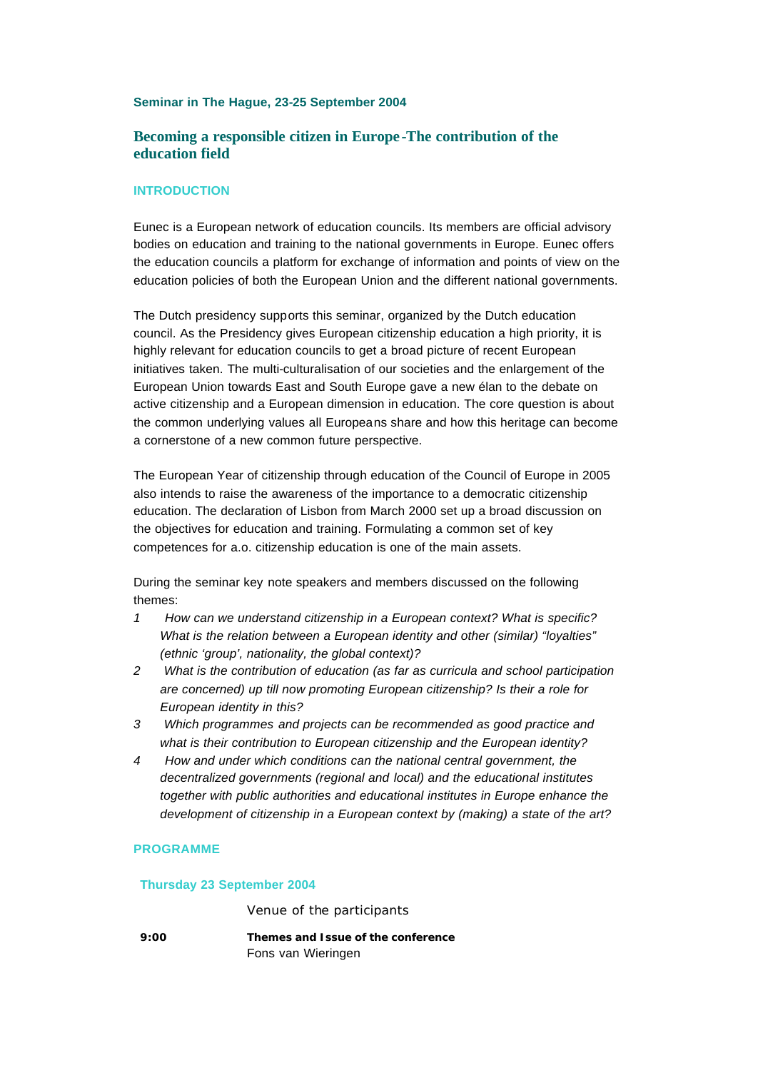### **Seminar in The Hague, 23-25 September 2004**

## **Becoming a responsible citizen in Europe -The contribution of the education field**

## **INTRODUCTION**

Eunec is a European network of education councils. Its members are official advisory bodies on education and training to the national governments in Europe. Eunec offers the education councils a platform for exchange of information and points of view on the education policies of both the European Union and the different national governments.

The Dutch presidency supports this seminar, organized by the Dutch education council. As the Presidency gives European citizenship education a high priority, it is highly relevant for education councils to get a broad picture of recent European initiatives taken. The multi-culturalisation of our societies and the enlargement of the European Union towards East and South Europe gave a new élan to the debate on active citizenship and a European dimension in education. The core question is about the common underlying values all Europeans share and how this heritage can become a cornerstone of a new common future perspective.

The European Year of citizenship through education of the Council of Europe in 2005 also intends to raise the awareness of the importance to a democratic citizenship education. The declaration of Lisbon from March 2000 set up a broad discussion on the objectives for education and training. Formulating a common set of key competences for a.o. citizenship education is one of the main assets.

During the seminar key note speakers and members discussed on the following themes:

- *1 How can we understand citizenship in a European context? What is specific? What is the relation between a European identity and other (similar) "loyalties" (ethnic 'group', nationality, the global context)?*
- *2 What is the contribution of education (as far as curricula and school participation are concerned) up till now promoting European citizenship? Is their a role for European identity in this?*
- *3 Which programmes and projects can be recommended as good practice and what is their contribution to European citizenship and the European identity?*
- *4 How and under which conditions can the national central government, the decentralized governments (regional and local) and the educational institutes together with public authorities and educational institutes in Europe enhance the development of citizenship in a European context by (making) a state of the art?*

### **PROGRAMME**

#### **Thursday 23 September 2004**

*Venue of the participants*

**9:00 Themes and Issue of the conference** Fons van Wieringen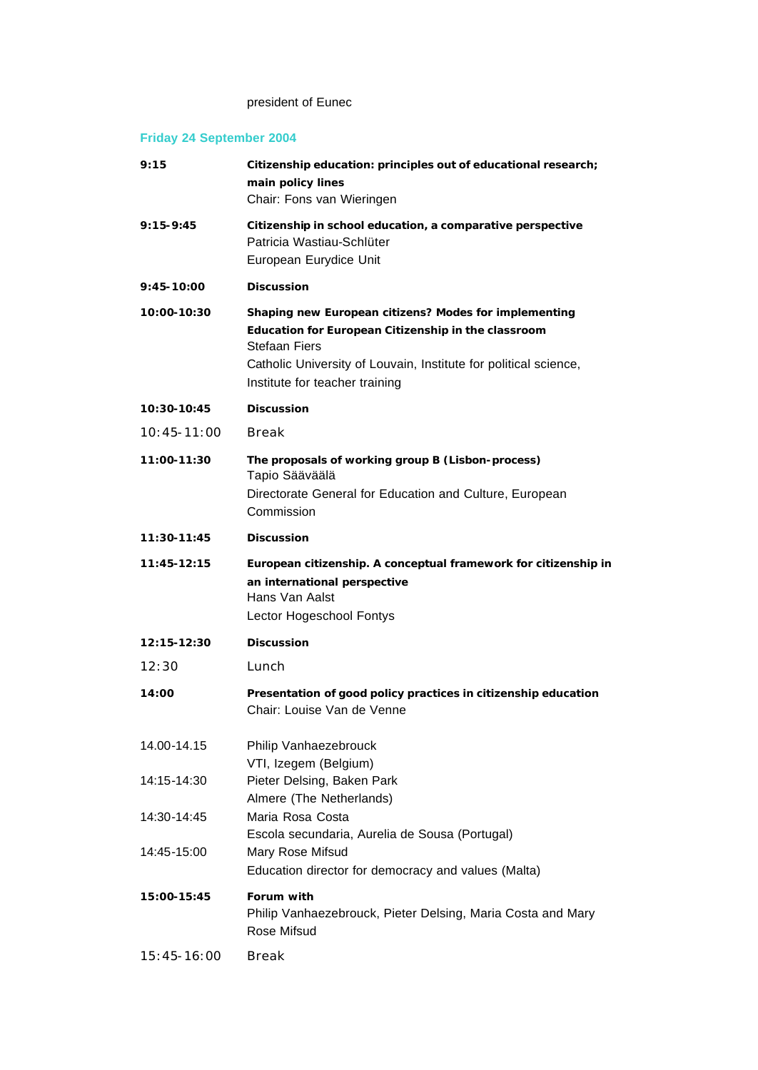## president of Eunec

# **Friday 24 September 2004**

| 9:15            | Citizenship education: principles out of educational research;<br>main policy lines<br>Chair: Fons van Wieringen                                                                                                                    |
|-----------------|-------------------------------------------------------------------------------------------------------------------------------------------------------------------------------------------------------------------------------------|
| $9:15 - 9:45$   | Citizenship in school education, a comparative perspective<br>Patricia Wastiau-Schlüter<br>European Eurydice Unit                                                                                                                   |
| 9:45-10:00      | <b>Discussion</b>                                                                                                                                                                                                                   |
| 10:00-10:30     | Shaping new European citizens? Modes for implementing<br>Education for European Citizenship in the classroom<br>Stefaan Fiers<br>Catholic University of Louvain, Institute for political science,<br>Institute for teacher training |
| 10:30-10:45     | <b>Discussion</b>                                                                                                                                                                                                                   |
| $10:45 - 11:00$ | <b>Break</b>                                                                                                                                                                                                                        |
| 11:00-11:30     | The proposals of working group B (Lisbon-process)<br>Tapio Sääväälä<br>Directorate General for Education and Culture, European<br>Commission                                                                                        |
| 11:30-11:45     | <b>Discussion</b>                                                                                                                                                                                                                   |
| 11:45-12:15     | European citizenship. A conceptual framework for citizenship in<br>an international perspective<br>Hans Van Aalst<br>Lector Hogeschool Fontys                                                                                       |
| 12:15-12:30     | <b>Discussion</b>                                                                                                                                                                                                                   |
| 12:30           | Lunch                                                                                                                                                                                                                               |
| 14:00           | Presentation of good policy practices in citizenship education<br>Chair: Louise Van de Venne                                                                                                                                        |
| 14.00-14.15     | Philip Vanhaezebrouck<br>VTI, Izegem (Belgium)                                                                                                                                                                                      |
| 14:15-14:30     | Pieter Delsing, Baken Park<br>Almere (The Netherlands)                                                                                                                                                                              |
| 14:30-14:45     | Maria Rosa Costa<br>Escola secundaria, Aurelia de Sousa (Portugal)                                                                                                                                                                  |
| 14:45-15:00     | Mary Rose Mifsud<br>Education director for democracy and values (Malta)                                                                                                                                                             |
| 15:00-15:45     | Forum with<br>Philip Vanhaezebrouck, Pieter Delsing, Maria Costa and Mary<br>Rose Mifsud                                                                                                                                            |
| $15:45 - 16:00$ | Break                                                                                                                                                                                                                               |